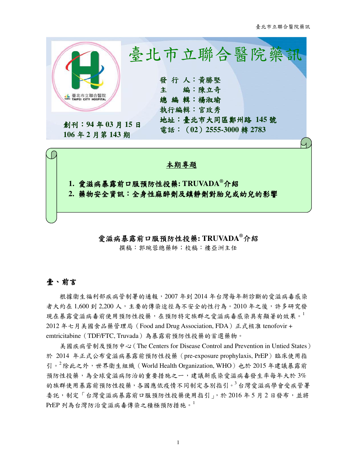

## 愛滋病暴露前口服預防性投藥**: TRUVADA®**介紹

撰稿:郭琬蓉總藥師;校稿:樓亞洲主任

## 壹、前言

根據衛生福利部疾病管制署的通報,2007 年到 2014 年台灣每年新診斷的愛滋病毒感染 者大約在 1,600 到 2,200 人,主要的傳染途徑為不安全的性行為。2010 年之後,許多研究發 現在暴露愛滋病毒前使用預防性投藥,在預防特定族群之愛滋病毒感染具有顯著的效果。 2012 年七月美國食品藥管理局(Food and Drug Association, FDA)正式核准 tenofovir + emtricitabine(TDF/FTC, Truvada)為暴露前預防性投藥的首選藥物。

美國疾病管制及預防中心(The Centers for Disease Control and Prevention in Untied States) 於 2014 年正式公布愛滋病暴露前預防性投藥(pre-exposure prophylaxis, PrEP)臨床使用指 引。<sup>2</sup>除此之外,世界衛生組織 (World Health Organization, WHO) 也於 2015 年建議暴露前 預防性投藥,為全球愛滋病防治的重要措施之一,建議新感染愛滋病毒發生率每年大於 3% 的族群使用暴露前預防性投藥,各國應依疫情不同制定各別指引。<sup>3</sup>台灣愛滋病學會受疾管署 委託,制定「台灣愛滋病暴露前口服預防性投藥使用指引」,於 2016年5月2日發布,並將  $PrEP$ 列為台灣防治愛滋病毒傳染之積極預防措施。

1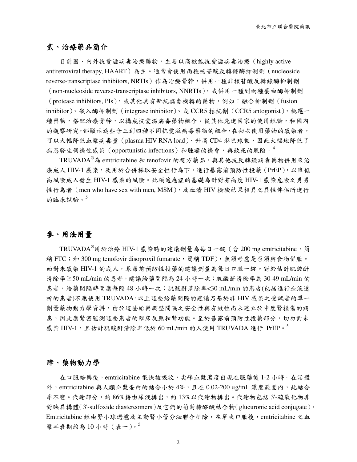# 貳、治療藥品簡介

目前國、內外抗愛滋病毒治療藥物,主要以高效能抗愛滋病毒治療(highly active antiretroviral therapy, HAART)為主。通常會使用兩種核苷酸反轉錄酶抑制劑(nucleoside reverse-transcriptase inhibitors, NRTIs)作為治療骨幹,併用一種非核苷酸反轉錄酶抑制劑

(non-nucleoside reverse-transcriptase inhibitors, NNRTIs), 或併用一種到兩種蛋白酶抑制劑 (protease inhibitors, PIs),或其他具有新抗病毒機轉的藥物,例如:融合抑制劑(fusion inhibitor)、嵌入酶抑制劑(integrase inhibitor)、或 CCR5 拮抗劑(CCR5 antogonist),挑選一 種藥物,搭配治療骨幹,以構成抗愛滋病毒藥物組合。從其他先進國家的使用經驗,和國內 的觀察研究,都顯示這些含三到四種不同抗愛滋病毒藥物的組合,在初次使用藥物的感染者, 可以大幅降低血漿病毒量(plasma HIV RNA load)、升高 CD4 淋巴球數,因此大幅地降低了 病患發生伺機性感染 (opportunistic infections) 和腫瘤的機會,與致死的風險。<sup>4</sup>

TRUVADA®為 emtricitabine 和 tenofovir 的複方藥品,與其他抗反轉錄病毒藥物併用來治 療成人 HIV-1 感染,及用於合併採取安全性行為下,進行暴露前預防性投藥(PrEP),以降低 高風險成人發生 HIV-1 感染的風險。此項適應症的基礎為針對有高度 HIV-1 感染危險之男男 性行為者 (men who have sex with men, MSM), 及血清 HIV 檢驗結果相異之異性伴侶所進行 的臨床試驗。 $5$ 

# 參、用法用量

TRUVADA®用於治療 HIV-1 感染時的建議劑量為每日一錠 (含 200 mg emtricitabine,簡 稱 FTC;和 300 mg tenofovir disoproxil fumarate,簡稱 TDF),無須考慮是否須與食物併服。 而對未感染 HIV-1 的成人,暴露前預防性投藥的建議劑量為每日口服一錠。對於估計肌酸酐 清除率≧50 mL/min 的患者,建議給藥間隔為 24 小時一次;肌酸酐清除率為 30-49 mL/min 的 患者,給藥間隔時間應每隔48 小時一次;肌酸酐清除率<30 mL/min 的患者(包括進行血液透 析的患者)不應使用 TRUVADA。以上這些給藥間隔的建議乃基於非 HIV 感染之受試者的單一 劑量藥物動力學資料,由於這些給藥調整間隔之安全性與有效性尚未建立於中度腎損傷的病 患,因此應緊密監測這些患者的臨床反應和腎功能。至於暴露前預防性投藥部分,切勿對未 感染 HIV-1,且估計肌酸酐清除率低於 60 mL/min 的人使用 TRUVADA 進行 PrEP。

### 肆、藥物動力學

在口服給藥後,emtricitabine 很快被吸收,尖峰血漿濃度出現在服藥後 1-2 小時。在活體 外,emtricitabine 與人類血漿蛋白的結合小於 4%,且在 0.02-200 µg/mL 濃度範圍內,此結合 率不變。代謝部分,約 86%藉由尿液排出,約 13%以代謝物排出。代謝物包括 3'-硫氧化物非 對映異構體(3'-sulfoxide diastereomers)及它們的葡萄糖醛酸結合物(glucuronic acid conjugate)。 Emtricitabine 經由腎小球過濾及主動腎小管分泌聯合排除,在單次口服後,emtricitabine 之血 漿半衰期約為10小時 (表一)。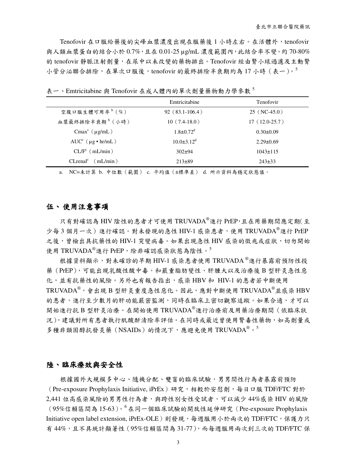Tenofovir 在口服給藥後的尖峰血漿濃度出現在服藥後 1 小時左右。在活體外,tenofovir 與人類血漿蛋白的結合小於 0.7%,且在 0.01-25 μg/mL 濃度範圍內, 此結合率不變。約70-80% 的 tenofovir 靜脈注射劑量,在尿中以未改變的藥物排出。Tenofovir 經由腎小球過濾及主動腎 小管分泌聯合排除,在單次口服後,tenofovir 的最終排除半衰期約為17 小時(表一)。5

|                                | Emtricitabine               | <b>Tenofovir</b> |
|--------------------------------|-----------------------------|------------------|
| 空腹口服生體可用率 <sup>b</sup> (%)     | $92(83.1-106.4)$            | $25$ (NC-45.0)   |
| 血漿最終排除半衰期 <sup>b</sup> (小時)    | $10(7.4-18.0)$              | $17(12.0-25.7)$  |
| Cmax <sup>c</sup> $(\mu g/mL)$ | $1.8 \pm 0.72$ <sup>d</sup> | $0.30 \pm 0.09$  |
| $AUCc$ ( $\mu$ g • hr/mL)      | $10.0\pm3.12^d$             | $2.29 \pm 0.69$  |
| $CL/Fc$ (mL/min)               | $302+94$                    | $1043 \pm 115$   |
| $CLrenalc$ (mL/min)            | $213\pm89$                  | $243\pm33$       |

表一、Emtricitabine 與 Tenofovir 在成人體內的單次劑量藥物動力學參數5

a. NC=未計算 b. 中位數(範圍) c. 平均值(±標準差) d. 所示資料為穩定狀態值。

#### 伍、 使用注意事項

只有對確認為 HIV 陰性的患者才可使用 TRUVADA®進行 PrEP,且在用藥期間應定期(至 少每3個月一次)進行確認。對未發現的急性 HIV-1 感染患者,使用 TRUVADA®進行 PrEP 之後,會檢出具抗藥性的 HIV-1 突變病毒。如果出現急性 HIV 感染的徵兆或症狀,切勿開始 使用 TRUVADA<sup>®</sup>進行 PrEP, 除非確認感染狀態為陰性。<sup>5</sup>

根據資料顯示,對未確診的早期 HIV-1 感染患者使用 TRUVADA®進行暴露前預防性投 藥(PrEP),可能出現乳酸性酸中毒,和嚴重脂肪變性、肝腫大以及治療後 B 型肝炎急性惡 化,並有抗藥性的風險。另外也有報告指出,感染 HBV 和 HIV-1 的患者若中斷使用 TRUVADA®,會出現 B 型肝炎重度急性惡化。因此,應對中斷使用 TRUVADA®並感染 HBV 的患者,進行至少數月的肝功能嚴密監測,同時在臨床上密切觀察追蹤。如果合適,才可以 開始進行抗 B 型肝炎治療。在開始使用 TRUVADA®進行治療前及用藥治療期間 (依臨床狀 況),建議對所有患者執行肌酸酐清除率評估。在同時或最近曾使用腎毒性藥物,如高劑量或 多種非類固醇抗發炎藥(NSAIDs)的情況下,應避免使用 TRUVADA®。5

#### **陸、臨床療效與安全性**

根據國外大規模多中心、隨機分配、雙盲的臨床試驗,男男間性行為者暴露前預防 (Pre-exposure Prophylaxis Initiative, iPrEx)研究,相較於安慰劑,每日口服 TDF/FTC 對於 2,441 位高感染風險的男男性行為者,與跨性別女性受試者,可以減少 44%感染 HIV 的風險  $(95\%$ 信賴區間為  $15-63)$ 。 $6$ 在同一個臨床試驗的開放性延伸研究 (Pre-exposure Prophylaxis Initiative open label extension, iPrEx-OLE)則發現,每週服用小於兩次的 TDF/FTC, 保護力只 有 44%,且不具統計顯著性 ( 95%信賴區間為 31-77 ),而每週服用兩次到三次的 TDF/FTC 保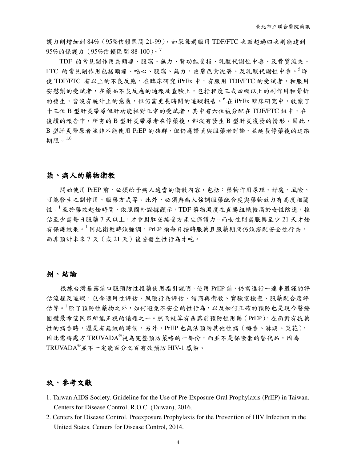護力則增加到 84%(95%信賴區間 21-99),如果每週服用 TDF/FTC 次數超過四次則能達到 95%的保護力 (95%信賴區間 88-100)。<sup>7</sup>

TDF 的常見副作用為頭痛、腹瀉、無力、腎功能受損、乳酸代謝性中毒、及骨質流失。 FTC 的常見副作用包括頭痛、噁心、腹瀉、無力,皮膚色素沈著、及乳酸代謝性中毒。<sup>5</sup>即 使 TDF/FTC 有以上的不良反應,在臨床研究 iPrEx 中,有服用 TDF/FTC 的受試者,和服用 安慰劑的受試者,在藥品不良反應的通報及查驗上,包括程度三或四級以上的副作用和骨折 的發生,皆沒有統計上的意義,但仍需更長時間的追蹤報告。<sup>6</sup>在 iPrEx 臨床研究中,收案了 十三位 B 型肝炎帶原但肝功能相對正常的受試者,其中有六位被分配在 TDF/FTC 組中,在 後續的報告中,所有的 B 型肝炎帶原者在停藥後,都沒有發生 B 型肝炎復發的情形。因此, B 型肝炎帶原者並非不能使用 PrEP 的族群,但仍應謹慎與服藥者討論,並延長停藥後的追蹤 期限。1,6

### 柒、病人的藥物衛教

開始使用 PrEP 前,必須給予病人適當的衛教內容,包括:藥物作用原理、好處、風險、 可能發生之副作用、服藥方式等。此外,必須與病人強調服藥配合度與藥物效力有高度相關 性。<sup>1</sup>至於藥效起始時間,依照國外證據顯示,TDF 藥物濃度在直腸組織較高於女性陰道,推 估至少需每日服藥 7 天以上,才會對肛交接受方產生保護力。而女性則需服藥至少 21 天才始 有保護效果。<sup>1</sup>因此衛教時須強調,PrEP 須每日按時服藥且服藥期間仍須搭配安全性行為, 而非預計未來 7 天(或 21 天)後要發生性行為才吃。

#### 捌、結論

根據台灣暴露前口服預防性投藥使用指引說明,使用 PrEP 前,仍需進行一連串嚴謹的評 估流程及追蹤,包含適用性評估、風險行為評估、諮商與衛教、實驗室檢查、服藥配合度評 估等。<sup>1</sup>除了預防性藥物之外,如何避免不安全的性行為,以及如何正確的預防也是現今醫療 團體最希望民眾所能正視的議題之一。然而就算有暴露前預防性用藥(PrEP),在面對有抗藥 性的病毒時,還是有無效的時候。另外,PrEP也無法預防其他性病(梅毒、淋病、菜花)。 因此需將處方 TRUVADA®視為完整預防策略的一部份,而並不是保險套的替代品,因為 TRUVADA®並不一定能百分之百有效預防 HIV-1 感染。

## 玖、參考文獻

- 1. Taiwan AIDS Society. Guideline for the Use of Pre-Exposure Oral Prophylaxis (PrEP) in Taiwan. Centers for Disease Control, R.O.C. (Taiwan), 2016.
- 2. Centers for Disease Control. Preexposure Prophylaxis for the Prevention of HIV Infection in the United States. Centers for Disease Control, 2014.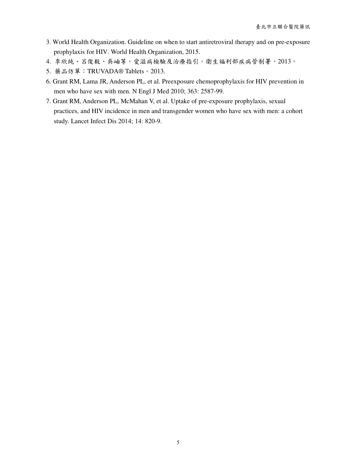- 3. World Health Organization. Guideline on when to start antiretroviral therapy and on pre-exposure prophylaxis for HIV. World Health Organization, 2015.
- 4. 李欣純、呂俊毅、吳岫等。愛滋病檢驗及治療指引。衛生福利部疾病管制署,2013。
- 5. 藥品仿單:TRUVADA® Tablets。2013.
- 6. Grant RM, Lama JR, Anderson PL, et al. Preexposure chemoprophylaxis for HIV prevention in men who have sex with men. N Engl J Med 2010; 363: 2587-99.
- 7. Grant RM, Anderson PL, McMahan V, et al. Uptake of pre-exposure prophylaxis, sexual practices, and HIV incidence in men and transgender women who have sex with men: a cohort study. Lancet Infect Dis 2014; 14: 820-9.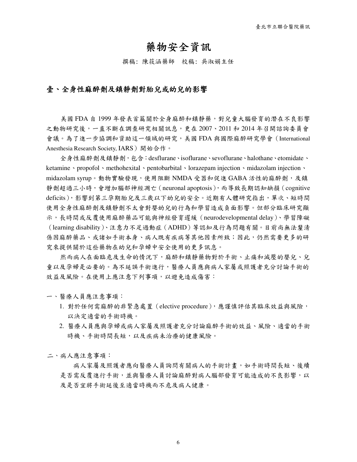# 藥物安全資訊

撰稿: 陳筱涵藥師 校稿: 吳淑娟主任

## 壹、全身性麻醉劑及鎮靜劑對胎兒或幼兒的影響

美國 FDA 自 1999 年發表首篇關於全身麻醉和鎮靜藥,對兒童大腦發育的潛在不良影響 之動物研究後,一直不斷在調查研究相關訊息,更在 2007、2011 和 2014 年召開諮詢委員會 會議。為了進一步協調和資助這一領域的研究,美國 FDA 與國際麻醉研究學會(International Anesthesia Research Society, IARS)開始合作。

全身性麻醉劑及鎮靜劑,包含:desflurane、isoflurane、sevoflurane、halothane、etomidate、 ketamine、propofol、methohexital、pentobarbital、lorazepam injection、midazolam injection、 midazolam syrup。動物實驗發現,使用阻斷 NMDA 受器和促進 GABA 活性的麻醉劑,及鎮 靜劑超過三小時,會增加腦部神經凋亡(neuronal apoptosis),而導致長期認知缺損(cognitive deficits),影響到第三孕期胎兒及三歲以下幼兒的安全。近期有人體研究指出,單次、短時間 使用全身性麻醉劑及鎮靜劑不太會對嬰幼兒的行為和學習造成負面影響。但部分臨床研究顯 示,長時間或反覆使用麻醉藥品可能與神經發育遲緩(neurodevelopmental delay)、學習障礙 (learning disability)、注意力不足過動症(ADHD)等認知及行為問題有關。目前尚無法釐清 係因麻醉藥品、或諸如手術本身、病人既有疾病等其他因素所致;因此,仍然需要更多的研 究來提供關於這些藥物在幼兒和孕婦中安全使用的更多訊息。

然而病人在面臨危及生命的情況下,麻醉和鎮靜藥物對於手術、止痛和減壓的嬰兒、兒 童以及孕婦是必要的。為不延誤手術進行,醫療人員應與病人家屬或照護者充分討論手術的 效益及風險。在使用上應注意下列事項,以避免造成傷害:

一、醫療人員應注意事項:

- 1. 對於任何需麻醉的非緊急處置(elective procedure),應謹慎評估其臨床效益與風險, 以決定適當的手術時機。
- 2. 醫療人員應與孕婦或病人家屬及照護者充分討論麻醉手術的效益、風險、適當的手術 時機、手術時間長短,以及疾病未治療的健康風險。
- 二、病人應注意事項:

病人家屬及照護者應向醫療人員詢問有關病人的手術計畫,如手術時間長短、後續 是否需反覆進行手術,並與醫療人員討論麻醉對病人腦部發育可能造成的不良影響,以 及是否宜將手術延後至適當時機而不危及病人健康。

6